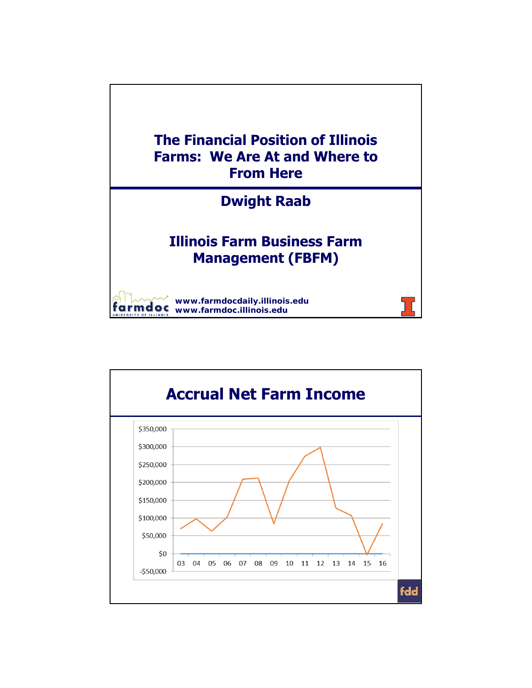

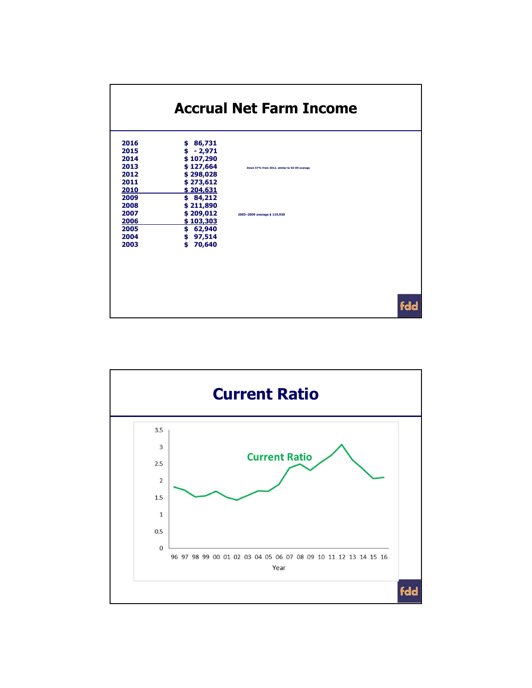

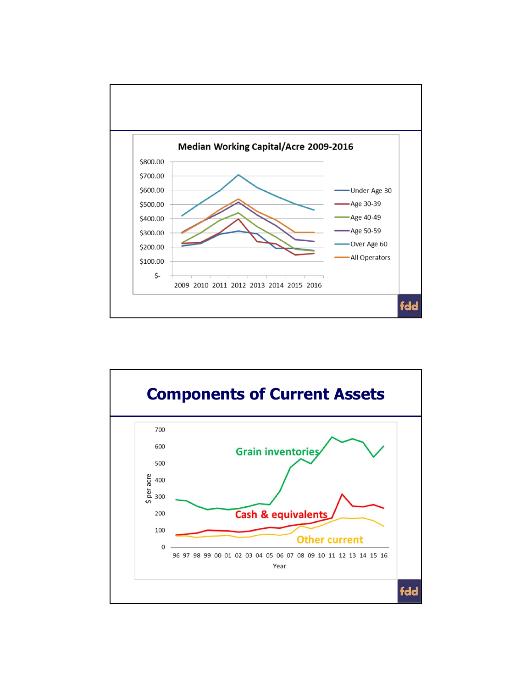

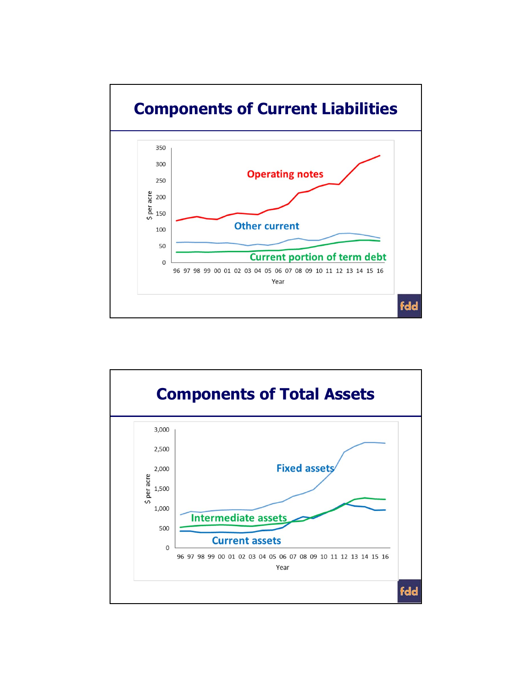

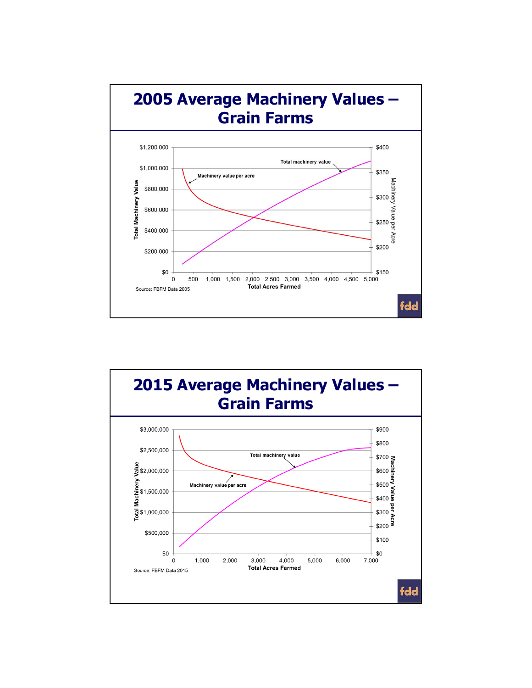

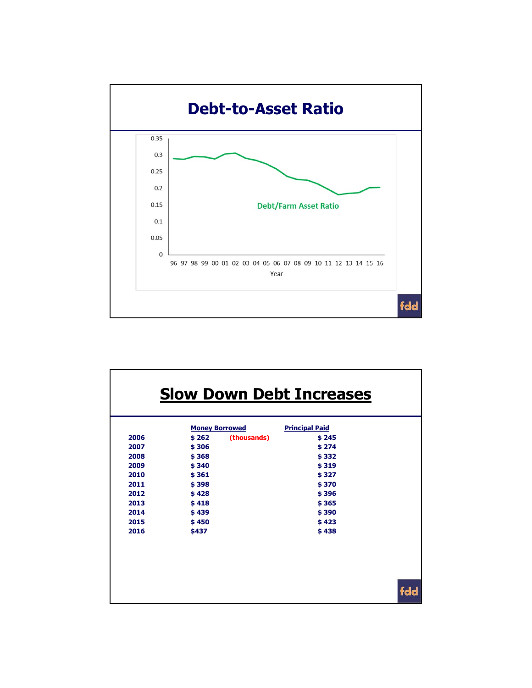

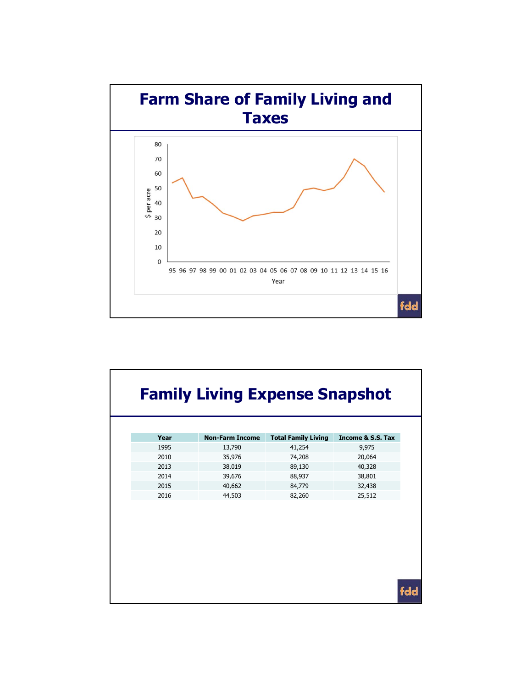

| <b>Family Living Expense Snapshot</b> |                        |                            |                   |
|---------------------------------------|------------------------|----------------------------|-------------------|
| Year                                  | <b>Non-Farm Income</b> | <b>Total Family Living</b> | Income & S.S. Tax |
| 1995                                  | 13,790                 | 41,254                     | 9,975             |
| 2010                                  | 35,976                 | 74,208                     | 20,064            |
| 2013                                  | 38,019                 | 89,130                     | 40,328            |
| 2014                                  | 39,676                 | 88,937                     | 38,801            |
| 2015                                  | 40,662                 | 84,779                     | 32,438            |
| 2016                                  | 44,503                 | 82,260                     | 25,512            |
|                                       |                        |                            |                   |
|                                       |                        |                            |                   |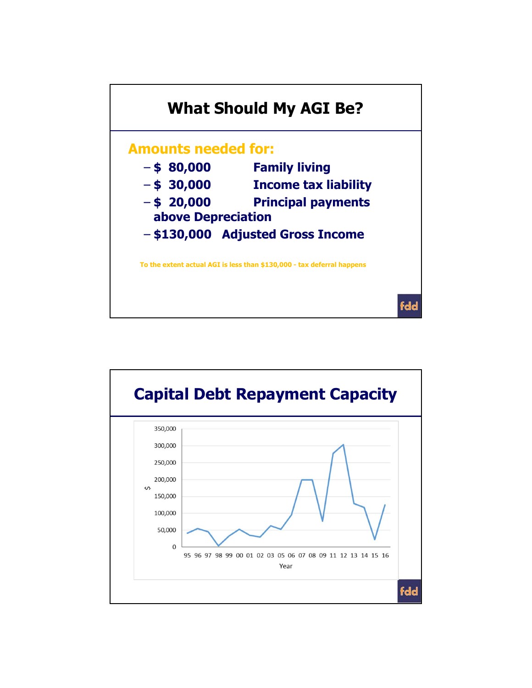